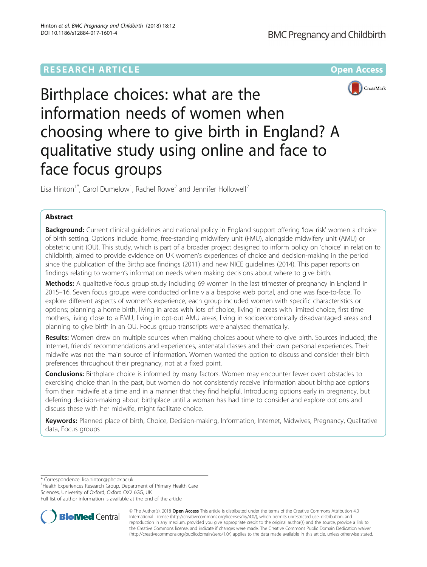# **RESEARCH ARTICLE Example 2014 12:30 The Community Community Community Community Community Community Community**



Birthplace choices: what are the information needs of women when choosing where to give birth in England? A qualitative study using online and face to face focus groups

Lisa Hinton<sup>1\*</sup>, Carol Dumelow<sup>1</sup>, Rachel Rowe<sup>2</sup> and Jennifer Hollowell<sup>2</sup>

## Abstract

Background: Current clinical guidelines and national policy in England support offering 'low risk' women a choice of birth setting. Options include: home, free-standing midwifery unit (FMU), alongside midwifery unit (AMU) or obstetric unit (OU). This study, which is part of a broader project designed to inform policy on 'choice' in relation to childbirth, aimed to provide evidence on UK women's experiences of choice and decision-making in the period since the publication of the Birthplace findings (2011) and new NICE guidelines (2014). This paper reports on findings relating to women's information needs when making decisions about where to give birth.

Methods: A qualitative focus group study including 69 women in the last trimester of pregnancy in England in 2015–16. Seven focus groups were conducted online via a bespoke web portal, and one was face-to-face. To explore different aspects of women's experience, each group included women with specific characteristics or options; planning a home birth, living in areas with lots of choice, living in areas with limited choice, first time mothers, living close to a FMU, living in opt-out AMU areas, living in socioeconomically disadvantaged areas and planning to give birth in an OU. Focus group transcripts were analysed thematically.

Results: Women drew on multiple sources when making choices about where to give birth. Sources included; the Internet, friends' recommendations and experiences, antenatal classes and their own personal experiences. Their midwife was not the main source of information. Women wanted the option to discuss and consider their birth preferences throughout their pregnancy, not at a fixed point.

**Conclusions:** Birthplace choice is informed by many factors. Women may encounter fewer overt obstacles to exercising choice than in the past, but women do not consistently receive information about birthplace options from their midwife at a time and in a manner that they find helpful. Introducing options early in pregnancy, but deferring decision-making about birthplace until a woman has had time to consider and explore options and discuss these with her midwife, might facilitate choice.

Keywords: Planned place of birth, Choice, Decision-making, Information, Internet, Midwives, Pregnancy, Qualitative data, Focus groups

\* Correspondence: [lisa.hinton@phc.ox.ac.uk](mailto:lisa.hinton@phc.ox.ac.uk) <sup>1</sup>

<sup>1</sup>Health Experiences Research Group, Department of Primary Health Care Sciences, University of Oxford, Oxford OX2 6GG, UK

Full list of author information is available at the end of the article



© The Author(s). 2018 Open Access This article is distributed under the terms of the Creative Commons Attribution 4.0 International License [\(http://creativecommons.org/licenses/by/4.0/](http://creativecommons.org/licenses/by/4.0/)), which permits unrestricted use, distribution, and reproduction in any medium, provided you give appropriate credit to the original author(s) and the source, provide a link to the Creative Commons license, and indicate if changes were made. The Creative Commons Public Domain Dedication waiver [\(http://creativecommons.org/publicdomain/zero/1.0/](http://creativecommons.org/publicdomain/zero/1.0/)) applies to the data made available in this article, unless otherwise stated.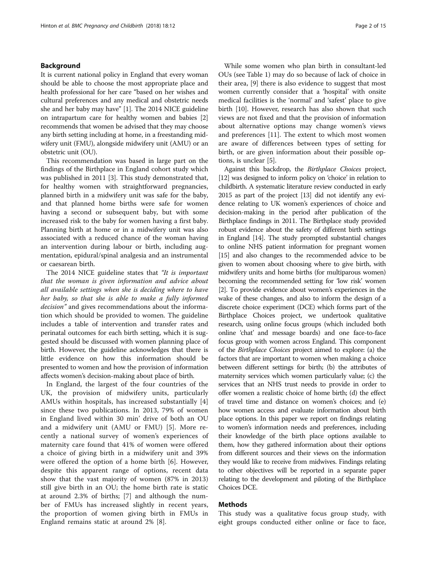## Background

It is current national policy in England that every woman should be able to choose the most appropriate place and health professional for her care "based on her wishes and cultural preferences and any medical and obstetric needs she and her baby may have" [\[1\]](#page-13-0). The 2014 NICE guideline on intrapartum care for healthy women and babies [[2](#page-13-0)] recommends that women be advised that they may choose any birth setting including at home, in a freestanding midwifery unit (FMU), alongside midwifery unit (AMU) or an obstetric unit (OU).

This recommendation was based in large part on the findings of the Birthplace in England cohort study which was published in 2011 [[3\]](#page-13-0). This study demonstrated that, for healthy women with straightforward pregnancies, planned birth in a midwifery unit was safe for the baby, and that planned home births were safe for women having a second or subsequent baby, but with some increased risk to the baby for women having a first baby. Planning birth at home or in a midwifery unit was also associated with a reduced chance of the woman having an intervention during labour or birth, including augmentation, epidural/spinal analgesia and an instrumental or caesarean birth.

The 2014 NICE guideline states that "It is important that the woman is given information and advice about all available settings when she is deciding where to have her baby, so that she is able to make a fully informed decision" and gives recommendations about the information which should be provided to women. The guideline includes a table of intervention and transfer rates and perinatal outcomes for each birth setting, which it is suggested should be discussed with women planning place of birth. However, the guideline acknowledges that there is little evidence on how this information should be presented to women and how the provision of information affects women's decision-making about place of birth.

In England, the largest of the four countries of the UK, the provision of midwifery units, particularly AMUs within hospitals, has increased substantially [\[4](#page-13-0)] since these two publications. In 2013, 79% of women in England lived within 30 min' drive of both an OU and a midwifery unit (AMU or FMU) [\[5](#page-13-0)]. More recently a national survey of women's experiences of maternity care found that 41% of women were offered a choice of giving birth in a midwifery unit and 39% were offered the option of a home birth [\[6](#page-13-0)]. However, despite this apparent range of options, recent data show that the vast majority of women (87% in 2013) still give birth in an OU; the home birth rate is static at around 2.3% of births; [\[7](#page-13-0)] and although the number of FMUs has increased slightly in recent years, the proportion of women giving birth in FMUs in England remains static at around 2% [[8\]](#page-13-0).

While some women who plan birth in consultant-led OUs (see Table [1](#page-2-0)) may do so because of lack of choice in their area, [[9](#page-13-0)] there is also evidence to suggest that most women currently consider that a 'hospital' with onsite medical facilities is the 'normal' and 'safest' place to give birth [[10\]](#page-13-0). However, research has also shown that such views are not fixed and that the provision of information about alternative options may change women's views and preferences [[11\]](#page-13-0). The extent to which most women are aware of differences between types of setting for birth, or are given information about their possible options, is unclear [[5\]](#page-13-0).

Against this backdrop, the Birthplace Choices project, [[12](#page-13-0)] was designed to inform policy on 'choice' in relation to childbirth. A systematic literature review conducted in early 2015 as part of the project [\[13\]](#page-13-0) did not identify any evidence relating to UK women's experiences of choice and decision-making in the period after publication of the Birthplace findings in 2011. The Birthplace study provided robust evidence about the safety of different birth settings in England [\[14\]](#page-13-0). The study prompted substantial changes to online NHS patient information for pregnant women [[15](#page-13-0)] and also changes to the recommended advice to be given to women about choosing where to give birth, with midwifery units and home births (for multiparous women) becoming the recommended setting for 'low risk' women [[2](#page-13-0)]. To provide evidence about women's experiences in the wake of these changes, and also to inform the design of a discrete choice experiment (DCE) which forms part of the Birthplace Choices project, we undertook qualitative research, using online focus groups (which included both online 'chat' and message boards) and one face-to-face focus group with women across England. This component of the Birthplace Choices project aimed to explore: (a) the factors that are important to women when making a choice between different settings for birth; (b) the attributes of maternity services which women particularly value; (c) the services that an NHS trust needs to provide in order to offer women a realistic choice of home birth; (d) the effect of travel time and distance on women's choices; and (e) how women access and evaluate information about birth place options. In this paper we report on findings relating to women's information needs and preferences, including their knowledge of the birth place options available to them, how they gathered information about their options from different sources and their views on the information they would like to receive from midwives. Findings relating to other objectives will be reported in a separate paper relating to the development and piloting of the Birthplace Choices DCE.

## Methods

This study was a qualitative focus group study, with eight groups conducted either online or face to face,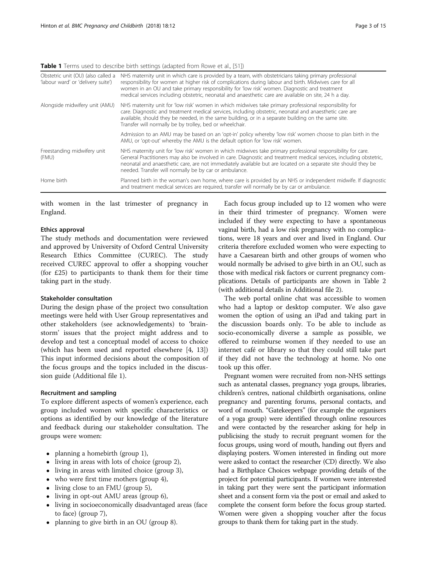<span id="page-2-0"></span>Table 1 Terms used to describe birth settings (adapted from Rowe et al., [\[51\]](#page-14-0))

| Obstetric unit (OU) (also called a<br>'labour ward' or 'delivery suite') | NHS maternity unit in which care is provided by a team, with obstetricians taking primary professional<br>responsibility for women at higher risk of complications during labour and birth. Midwives care for all<br>women in an OU and take primary responsibility for 'low risk' women. Diagnostic and treatment<br>medical services including obstetric, neonatal and anaesthetic care are available on site, 24 h a day. |
|--------------------------------------------------------------------------|------------------------------------------------------------------------------------------------------------------------------------------------------------------------------------------------------------------------------------------------------------------------------------------------------------------------------------------------------------------------------------------------------------------------------|
| Alongside midwifery unit (AMU)                                           | NHS maternity unit for 'low risk' women in which midwives take primary professional responsibility for<br>care. Diagnostic and treatment medical services, including obstetric, neonatal and anaesthetic care are<br>available, should they be needed, in the same building, or in a separate building on the same site.<br>Transfer will normally be by trolley, bed or wheelchair.                                         |
|                                                                          | Admission to an AMU may be based on an 'opt-in' policy whereby 'low risk' women choose to plan birth in the<br>AMU, or 'opt-out' whereby the AMU is the default option for 'low risk' women.                                                                                                                                                                                                                                 |
| Freestanding midwifery unit<br>(FMU)                                     | NHS maternity unit for 'low risk' women in which midwives take primary professional responsibility for care.<br>General Practitioners may also be involved in care. Diagnostic and treatment medical services, including obstetric,<br>neonatal and anaesthetic care, are not immediately available but are located on a separate site should they be<br>needed. Transfer will normally be by car or ambulance.              |
| Home birth                                                               | Planned birth in the woman's own home, where care is provided by an NHS or independent midwife. If diagnostic<br>and treatment medical services are required, transfer will normally be by car or ambulance.                                                                                                                                                                                                                 |

with women in the last trimester of pregnancy in England.

#### Ethics approval

The study methods and documentation were reviewed and approved by University of Oxford Central University Research Ethics Committee (CUREC). The study received CUREC approval to offer a shopping voucher (for £25) to participants to thank them for their time taking part in the study.

#### Stakeholder consultation

During the design phase of the project two consultation meetings were held with User Group representatives and other stakeholders (see acknowledgements) to 'brainstorm' issues that the project might address and to develop and test a conceptual model of access to choice (which has been used and reported elsewhere [\[4](#page-13-0), [13](#page-13-0)]) This input informed decisions about the composition of the focus groups and the topics included in the discussion guide (Additional file [1](#page-12-0)).

#### Recruitment and sampling

To explore different aspects of women's experience, each group included women with specific characteristics or options as identified by our knowledge of the literature and feedback during our stakeholder consultation. The groups were women:

- planning a homebirth (group 1),
- living in areas with lots of choice (group 2),
- living in areas with limited choice (group 3),
- who were first time mothers (group 4),
- living close to an FMU (group 5),
- living in opt-out AMU areas (group 6),
- living in socioeconomically disadvantaged areas (face to face) (group 7),
- planning to give birth in an OU (group 8).

Each focus group included up to 12 women who were in their third trimester of pregnancy. Women were included if they were expecting to have a spontaneous vaginal birth, had a low risk pregnancy with no complications, were 18 years and over and lived in England. Our criteria therefore excluded women who were expecting to have a Caesarean birth and other groups of women who would normally be advised to give birth in an OU, such as those with medical risk factors or current pregnancy complications. Details of participants are shown in Table [2](#page-3-0) (with additional details in Additional file [2](#page-12-0)).

The web portal online chat was accessible to women who had a laptop or desktop computer. We also gave women the option of using an iPad and taking part in the discussion boards only. To be able to include as socio-economically diverse a sample as possible, we offered to reimburse women if they needed to use an internet café or library so that they could still take part if they did not have the technology at home. No one took up this offer.

Pregnant women were recruited from non-NHS settings such as antenatal classes, pregnancy yoga groups, libraries, children's centres, national childbirth organisations, online pregnancy and parenting forums, personal contacts, and word of mouth. "Gatekeepers" (for example the organisers of a yoga group) were identified through online resources and were contacted by the researcher asking for help in publicising the study to recruit pregnant women for the focus groups, using word of mouth, handing out flyers and displaying posters. Women interested in finding out more were asked to contact the researcher (CD) directly. We also had a Birthplace Choices webpage providing details of the project for potential participants. If women were interested in taking part they were sent the participant information sheet and a consent form via the post or email and asked to complete the consent form before the focus group started. Women were given a shopping voucher after the focus groups to thank them for taking part in the study.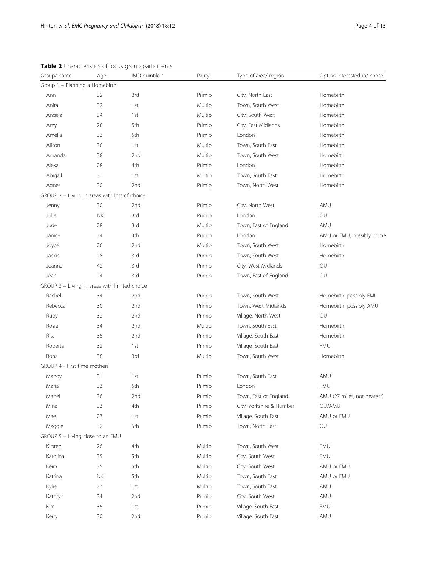| Group/ name                                   | Age       | IMD quintile <sup>a</sup> | Parity | Type of area/ region     | Option interested in/ chose |
|-----------------------------------------------|-----------|---------------------------|--------|--------------------------|-----------------------------|
| Group 1 - Planning a Homebirth                |           |                           |        |                          |                             |
| Ann                                           | 32        | 3rd                       | Primip | City, North East         | Homebirth                   |
| Anita                                         | 32        | 1st                       | Multip | Town, South West         | Homebirth                   |
| Angela                                        | 34        | 1st                       | Multip | City, South West         | Homebirth                   |
| Amy                                           | 28        | 5th                       | Primip | City, East Midlands      | Homebirth                   |
| Amelia                                        | 33        | 5th                       | Primip | London                   | Homebirth                   |
| Alison                                        | 30        | 1st                       | Multip | Town, South East         | Homebirth                   |
| Amanda                                        | 38        | 2nd                       | Multip | Town, South West         | Homebirth                   |
| Alexa                                         | 28        | 4th                       | Primip | London                   | Homebirth                   |
| Abigail                                       | 31        | 1st                       | Multip | Town, South East         | Homebirth                   |
| Agnes                                         | 30        | 2nd                       | Primip | Town, North West         | Homebirth                   |
| GROUP 2 - Living in areas with lots of choice |           |                           |        |                          |                             |
| Jenny                                         | 30        | 2nd                       | Primip | City, North West         | AMU                         |
| Julie                                         | <b>NK</b> | 3rd                       | Primip | London                   | OU                          |
| Jude                                          | 28        | 3rd                       | Multip | Town, East of England    | AMU                         |
| Janice                                        | 34        | 4th                       | Primip | London                   | AMU or FMU, possibly home   |
| Joyce                                         | 26        | 2nd                       | Multip | Town, South West         | Homebirth                   |
| Jackie                                        | 28        | 3rd                       | Primip | Town, South West         | Homebirth                   |
| Joanna                                        | 42        | 3rd                       | Primip | City, West Midlands      | OU                          |
| Jean                                          | 24        | 3rd                       | Primip | Town, East of England    | OU                          |
| GROUP 3 - Living in areas with limited choice |           |                           |        |                          |                             |
| Rachel                                        | 34        | 2nd                       | Primip | Town, South West         | Homebirth, possibly FMU     |
| Rebecca                                       | 30        | 2nd                       | Primip | Town, West Midlands      | Homebirth, possibly AMU     |
| Ruby                                          | 32        | 2nd                       | Primip | Village, North West      | OU                          |
| Rosie                                         | 34        | 2nd                       | Multip | Town, South East         | Homebirth                   |
| Rita                                          | 35        | 2nd                       | Primip | Village, South East      | Homebirth                   |
| Roberta                                       | 32        | 1st                       | Primip | Village, South East      | <b>FMU</b>                  |
| Rona                                          | 38        | 3rd                       | Multip | Town, South West         | Homebirth                   |
| GROUP 4 - First time mothers                  |           |                           |        |                          |                             |
| Mandy                                         | 31        | 1st                       | Primip | Town, South East         | AMU                         |
| Maria                                         | 33        | 5th                       | Primip | London                   | FMU                         |
| Mabel                                         | 36        | 2nd                       | Primip | Town, East of England    | AMU (27 miles, not nearest) |
| Mina                                          | 33        | 4th                       | Primip | City, Yorkshire & Humber | OU/AMU                      |
| Mae                                           | 27        | 1st                       | Primip | Village, South East      | AMU or FMU                  |
| Maggie                                        | 32        | 5th                       | Primip | Town, North East         | OU                          |
| GROUP 5 - Living close to an FMU              |           |                           |        |                          |                             |
| Kirsten                                       | 26        | 4th                       | Multip | Town, South West         | <b>FMU</b>                  |
| Karolina                                      | 35        | 5th                       | Multip | City, South West         | <b>FMU</b>                  |
| Keira                                         | 35        | 5th                       | Multip | City, South West         | AMU or FMU                  |
| Katrina                                       | NK        | 5th                       | Multip | Town, South East         | AMU or FMU                  |
| Kylie                                         | 27        | 1st                       | Multip | Town, South East         | AMU                         |

Kathryn 34 2nd Primip City, South West AMU Kim 36 1st Primip Village, South East FMU Kerry 30 2nd Primip Village, South East AMU

<span id="page-3-0"></span>Table 2 Characteristics of focus group participants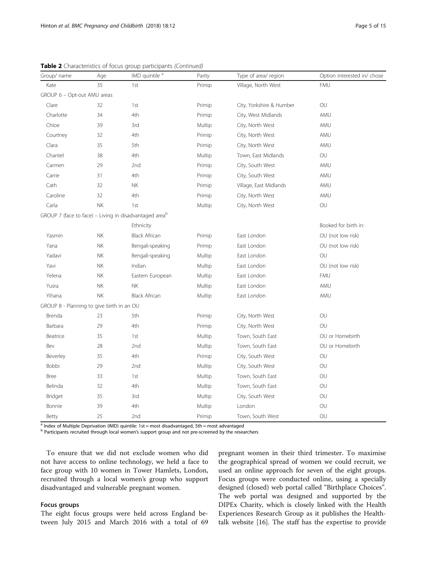| Group/ name                               | Age       | IMD quintile <sup>a</sup>                                          | Parity | Type of area/ region     | Option interested in/ chose |
|-------------------------------------------|-----------|--------------------------------------------------------------------|--------|--------------------------|-----------------------------|
| Kate                                      | 35        | 1st                                                                | Primip | Village, North West      | <b>FMU</b>                  |
| GROUP 6 - Opt-out AMU areas               |           |                                                                    |        |                          |                             |
| Clare                                     | 32        | 1st                                                                | Primip | City, Yorkshire & Humber | OU                          |
| Charlotte                                 | 34        | 4th                                                                | Primip | City, West Midlands      | AMU                         |
| Chloe                                     | 39        | 3rd                                                                | Multip | City, North West         | AMU                         |
| Courtney                                  | 32        | 4th                                                                | Primip | City, North West         | AMU                         |
| Clara                                     | 35        | 5th                                                                | Primip | City, North West         | AMU                         |
| Chantel                                   | 38        | 4th                                                                | Multip | Town, East Midlands      | OU                          |
| Carmen                                    | 29        | 2nd                                                                | Primip | City, South West         | AMU                         |
| Carrie                                    | 31        | 4th                                                                | Primip | City, South West         | AMU                         |
| Cath                                      | 32        | NΚ                                                                 | Primip | Village, East Midlands   | AMU                         |
| Caroline                                  | 32        | 4th                                                                | Primip | City, North West         | AMU                         |
| Carla                                     | NΚ        | 1st                                                                | Multip | City, North West         | OU                          |
|                                           |           | GROUP 7 (face to face) - Living in disadvantaged area <sup>b</sup> |        |                          |                             |
|                                           |           | Ethnicity                                                          |        |                          | Booked for birth in:        |
| Yasmin                                    | NΚ        | <b>Black African</b>                                               | Primip | East London              | OU (not low risk)           |
| Yana                                      | NΚ        | Bengali-speaking                                                   | Primip | East London              | OU (not low risk)           |
| Yadavi                                    | NΚ        | Bengali-speaking                                                   | Multip | East London              | OU                          |
| Yavi                                      | NΚ        | Indian                                                             | Multip | East London              | OU (not low risk)           |
| Yelena                                    | NΚ        | Eastern European                                                   | Multip | East London              | <b>FMU</b>                  |
| Yusra                                     | NΚ        | NΚ                                                                 | Multip | East London              | AMU                         |
| Yihana                                    | <b>ΝK</b> | <b>Black African</b>                                               | Multip | East London              | AMU                         |
| GROUP 8 - Planning to give birth in an OU |           |                                                                    |        |                          |                             |
| Brenda                                    | 23        | 5th                                                                | Primip | City, North West         | OU                          |
| Barbara                                   | 29        | 4th                                                                | Primip | City, North West         | OU                          |
| Beatrice                                  | 35        | 1st                                                                | Multip | Town, South East         | OU or Homebirth             |
| Bev                                       | 28        | 2nd                                                                | Multip | Town, South East         | OU or Homebirth             |
| Beverley                                  | 35        | 4th                                                                | Primip | City, South West         | OU                          |
| Bobbi                                     | 29        | 2nd                                                                | Multip | City, South West         | OU                          |
| Bree                                      | 33        | 1st                                                                | Multip | Town, South East         | OU                          |
| Belinda                                   | 32        | 4th                                                                | Multip | Town, South East         | OU                          |
| Bridget                                   | 35        | 3rd                                                                | Multip | City, South West         | OU                          |
| Bonnie                                    | 39        | 4th                                                                | Multip | London                   | OU                          |
| Betty                                     | 25        | 2nd                                                                | Primip | Town, South West         | OU                          |

Table 2 Characteristics of focus group participants (Continued)

 $a$  Index of Multiple Deprivation (IMD) quintile: 1st = most disadvantaged, 5th = most advantaged

 $<sup>b</sup>$  Participants recruited through local women's support group and not pre-screened by the researchers</sup>

To ensure that we did not exclude women who did not have access to online technology, we held a face to face group with 10 women in Tower Hamlets, London, recruited through a local women's group who support disadvantaged and vulnerable pregnant women.

## Focus groups

The eight focus groups were held across England between July 2015 and March 2016 with a total of 69

pregnant women in their third trimester. To maximise the geographical spread of women we could recruit, we used an online approach for seven of the eight groups. Focus groups were conducted online, using a specially designed (closed) web portal called "Birthplace Choices". The web portal was designed and supported by the DIPEx Charity, which is closely linked with the Health Experiences Research Group as it publishes the Healthtalk website [[16\]](#page-13-0). The staff has the expertise to provide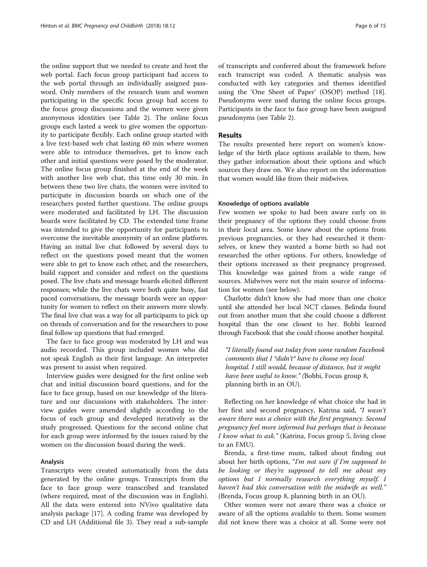the online support that we needed to create and host the web portal. Each focus group participant had access to the web portal through an individually assigned password. Only members of the research team and women participating in the specific focus group had access to the focus group discussions and the women were given anonymous identities (see Table [2](#page-3-0)). The online focus groups each lasted a week to give women the opportunity to participate flexibly. Each online group started with a live text-based web chat lasting 60 min where women were able to introduce themselves, get to know each other and initial questions were posed by the moderator. The online focus group finished at the end of the week with another live web chat, this time only 30 min. In between these two live chats, the women were invited to participate in discussion boards on which one of the researchers posted further questions. The online groups were moderated and facilitated by LH. The discussion boards were facilitated by CD. The extended time frame was intended to give the opportunity for participants to overcome the inevitable anonymity of an online platform. Having an initial live chat followed by several days to reflect on the questions posed meant that the women were able to get to know each other, and the researchers, build rapport and consider and reflect on the questions posed. The live chats and message boards elicited different responses; while the live chats were both quite busy, fast paced conversations, the message boards were an opportunity for women to reflect on their answers more slowly. The final live chat was a way for all participants to pick up on threads of conversation and for the researchers to pose final follow up questions that had emerged.

The face to face group was moderated by LH and was audio recorded. This group included women who did not speak English as their first language. An interpreter was present to assist when required.

Interview guides were designed for the first online web chat and initial discussion board questions, and for the face to face group, based on our knowledge of the literature and our discussions with stakeholders. The interview guides were amended slightly according to the focus of each group and developed iteratively as the study progressed. Questions for the second online chat for each group were informed by the issues raised by the women on the discussion board during the week.

#### Analysis

Transcripts were created automatically from the data generated by the online groups. Transcripts from the face to face group were transcribed and translated (where required, most of the discussion was in English). All the data were entered into NVivo qualitative data analysis package [[17](#page-13-0)]. A coding frame was developed by CD and LH (Additional file [3](#page-12-0)). They read a sub-sample of transcripts and conferred about the framework before each transcript was coded. A thematic analysis was conducted with key categories and themes identified using the 'One Sheet of Paper' (OSOP) method [\[18](#page-13-0)]. Pseudonyms were used during the online focus groups. Participants in the face to face group have been assigned pseudonyms (see Table [2\)](#page-3-0).

#### **Results**

The results presented here report on women's knowledge of the birth place options available to them, how they gather information about their options and which sources they draw on. We also report on the information that women would like from their midwives.

#### Knowledge of options available

Few women we spoke to had been aware early on in their pregnancy of the options they could choose from in their local area. Some knew about the options from previous pregnancies, or they had researched it themselves, or knew they wanted a home birth so had not researched the other options. For others, knowledge of their options increased as their pregnancy progressed. This knowledge was gained from a wide range of sources. Midwives were not the main source of information for women (see below).

Charlotte didn't know she had more than one choice until she attended her local NCT classes. Belinda found out from another mum that she could choose a different hospital than the one closest to her. Bobbi learned through Facebook that she could choose another hospital.

"I literally found out today from some random Facebook comments that I \*didn't\* have to choose my local hospital. I still would, because of distance, but it might have been useful to know." (Bobbi, Focus group 8, planning birth in an OU).

Reflecting on her knowledge of what choice she had in her first and second pregnancy, Katrina said, "I wasn't aware there was a choice with the first pregnancy. Second pregnancy feel more informed but perhaps that is because I know what to ask." (Katrina, Focus group 5, living close to an FMU).

Brenda, a first-time mum, talked about finding out about her birth options, "I'm not sure if I'm supposed to be looking or they're supposed to tell me about my options but I normally research everything myself. I haven't had this conversation with the midwife as well." (Brenda, Focus group 8, planning birth in an OU).

Other women were not aware there was a choice or aware of all the options available to them. Some women did not know there was a choice at all. Some were not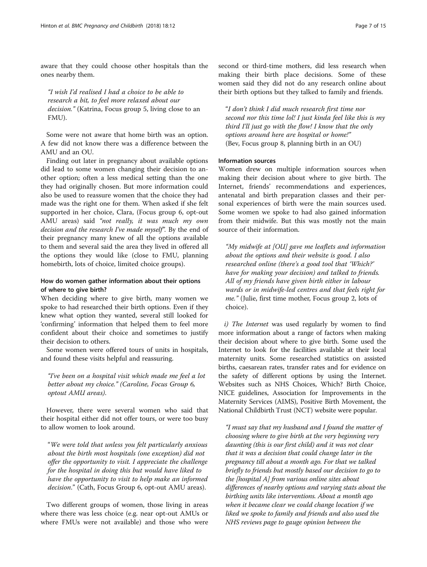aware that they could choose other hospitals than the ones nearby them.

"I wish I'd realised I had a choice to be able to research a bit, to feel more relaxed about our decision." (Katrina, Focus group 5, living close to an FMU).

Some were not aware that home birth was an option. A few did not know there was a difference between the AMU and an OU.

Finding out later in pregnancy about available options did lead to some women changing their decision to another option; often a less medical setting than the one they had originally chosen. But more information could also be used to reassure women that the choice they had made was the right one for them. When asked if she felt supported in her choice, Clara, (Focus group 6, opt-out AMU areas) said "not really, it was much my own decision and the research I've made myself". By the end of their pregnancy many knew of all the options available to them and several said the area they lived in offered all the options they would like (close to FMU, planning homebirth, lots of choice, limited choice groups).

## How do women gather information about their options of where to give birth?

When deciding where to give birth, many women we spoke to had researched their birth options. Even if they knew what option they wanted, several still looked for 'confirming' information that helped them to feel more confident about their choice and sometimes to justify their decision to others.

Some women were offered tours of units in hospitals, and found these visits helpful and reassuring.

"I've been on a hospital visit which made me feel a lot better about my choice." (Caroline, Focus Group 6, optout AMU areas).

However, there were several women who said that their hospital either did not offer tours, or were too busy to allow women to look around.

"We were told that unless you felt particularly anxious about the birth most hospitals (one exception) did not offer the opportunity to visit. I appreciate the challenge for the hospital in doing this but would have liked to have the opportunity to visit to help make an informed decision." (Cath, Focus Group 6, opt-out AMU areas).

Two different groups of women, those living in areas where there was less choice (e.g. near opt-out AMUs or where FMUs were not available) and those who were second or third-time mothers, did less research when making their birth place decisions. Some of these women said they did not do any research online about their birth options but they talked to family and friends.

"I don't think I did much research first time nor second nor this time lol! I just kinda feel like this is my third I'll just go with the flow! I know that the only options around here are hospital or home!" (Bev, Focus group 8, planning birth in an OU)

## Information sources

Women drew on multiple information sources when making their decision about where to give birth. The Internet, friends' recommendations and experiences, antenatal and birth preparation classes and their personal experiences of birth were the main sources used. Some women we spoke to had also gained information from their midwife. But this was mostly not the main source of their information.

"My midwife at [OU] gave me leaflets and information about the options and their website is good. I also researched online (there's a good tool that 'Which?' have for making your decision) and talked to friends. All of my friends have given birth either in labour wards or in midwife-led centres and that feels right for me." (Julie, first time mother, Focus group 2, lots of choice).

i) The Internet was used regularly by women to find more information about a range of factors when making their decision about where to give birth. Some used the Internet to look for the facilities available at their local maternity units. Some researched statistics on assisted births, caesarean rates, transfer rates and for evidence on the safety of different options by using the Internet. Websites such as NHS Choices, Which? Birth Choice, NICE guidelines, Association for Improvements in the Maternity Services (AIMS), Positive Birth Movement, the National Childbirth Trust (NCT) website were popular.

"I must say that my husband and I found the matter of choosing where to give birth at the very beginning very daunting (this is our first child) and it was not clear that it was a decision that could change later in the pregnancy till about a month ago. For that we talked briefly to friends but mostly based our decision to go to the [hospital A] from various online sites about differences of nearby options and varying stats about the birthing units like interventions. About a month ago when it became clear we could change location if we liked we spoke to family and friends and also used the NHS reviews page to gauge opinion between the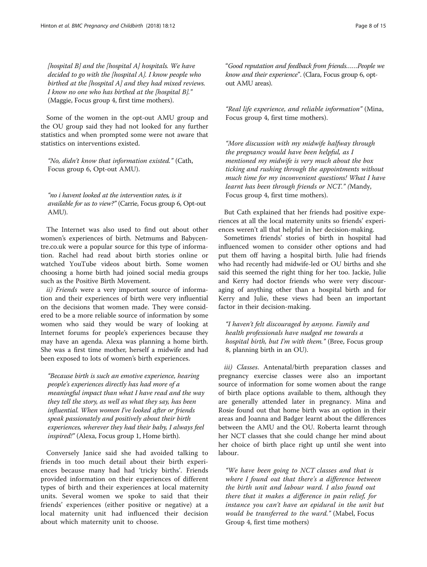[hospital  $B$ ] and the [hospital  $A$ ] hospitals. We have decided to go with the [hospital A]. I know people who birthed at the [hospital A] and they had mixed reviews. I know no one who has birthed at the [hospital B]." (Maggie, Focus group 4, first time mothers).

Some of the women in the opt-out AMU group and the OU group said they had not looked for any further statistics and when prompted some were not aware that statistics on interventions existed.

"No, didn't know that information existed." (Cath, Focus group 6, Opt-out AMU).

"no i havent looked at the intervention rates, is it available for us to view?" (Carrie, Focus group 6, Opt-out AMU).

The Internet was also used to find out about other women's experiences of birth. Netmums and [Babycen](http://babycentre.co.uk)[tre.co.uk](http://babycentre.co.uk) were a popular source for this type of information. Rachel had read about birth stories online or watched YouTube videos about birth. Some women choosing a home birth had joined social media groups such as the Positive Birth Movement.

ii) Friends were a very important source of information and their experiences of birth were very influential on the decisions that women made. They were considered to be a more reliable source of information by some women who said they would be wary of looking at Internet forums for people's experiences because they may have an agenda. Alexa was planning a home birth. She was a first time mother, herself a midwife and had been exposed to lots of women's birth experiences.

"Because birth is such an emotive experience, hearing people's experiences directly has had more of a meaningful impact than what I have read and the way they tell the story, as well as what they say, has been influential. When women I've looked after or friends speak passionately and positively about their birth experiences, wherever they had their baby, I always feel inspired!" (Alexa, Focus group 1, Home birth).

Conversely Janice said she had avoided talking to friends in too much detail about their birth experiences because many had had 'tricky births'. Friends provided information on their experiences of different types of birth and their experiences at local maternity units. Several women we spoke to said that their friends' experiences (either positive or negative) at a local maternity unit had influenced their decision about which maternity unit to choose.

"Good reputation and feedback from friends……People we know and their experience". (Clara, Focus group 6, optout AMU areas).

"Real life experience, and reliable information" (Mina, Focus group 4, first time mothers).

"More discussion with my midwife halfway through the pregnancy would have been helpful, as I mentioned my midwife is very much about the box ticking and rushing through the appointments without much time for my inconvenient questions! What I have learnt has been through friends or NCT." (Mandy, Focus group 4, first time mothers).

But Cath explained that her friends had positive experiences at all the local maternity units so friends' experiences weren't all that helpful in her decision-making.

Sometimes friends' stories of birth in hospital had influenced women to consider other options and had put them off having a hospital birth. Julie had friends who had recently had midwife-led or OU births and she said this seemed the right thing for her too. Jackie, Julie and Kerry had doctor friends who were very discouraging of anything other than a hospital birth and for Kerry and Julie, these views had been an important factor in their decision-making.

"I haven't felt discouraged by anyone. Family and health professionals have nudged me towards a hospital birth, but I'm with them." (Bree, Focus group 8, planning birth in an OU).

iii) Classes. Antenatal/birth preparation classes and pregnancy exercise classes were also an important source of information for some women about the range of birth place options available to them, although they are generally attended later in pregnancy. Mina and Rosie found out that home birth was an option in their areas and Joanna and Badger learnt about the differences between the AMU and the OU. Roberta learnt through her NCT classes that she could change her mind about her choice of birth place right up until she went into labour.

"We have been going to NCT classes and that is where I found out that there's a difference between the birth unit and labour ward. I also found out there that it makes a difference in pain relief, for instance you can't have an epidural in the unit but would be transferred to the ward." (Mabel, Focus Group 4, first time mothers)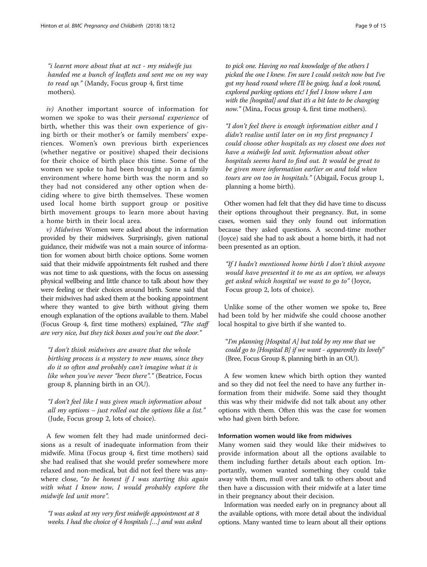"i learnt more about that at nct - my midwife jus handed me a bunch of leaflets and sent me on my way to read up." (Mandy, Focus group 4, first time mothers).

iv) Another important source of information for women we spoke to was their personal experience of birth, whether this was their own experience of giving birth or their mother's or family members' experiences. Women's own previous birth experiences (whether negative or positive) shaped their decisions for their choice of birth place this time. Some of the women we spoke to had been brought up in a family environment where home birth was the norm and so they had not considered any other option when deciding where to give birth themselves. These women used local home birth support group or positive birth movement groups to learn more about having a home birth in their local area.

 $\nu$ ) Midwives Women were asked about the information provided by their midwives. Surprisingly, given national guidance, their midwife was not a main source of information for women about birth choice options. Some women said that their midwife appointments felt rushed and there was not time to ask questions, with the focus on assessing physical wellbeing and little chance to talk about how they were feeling or their choices around birth. Some said that their midwives had asked them at the booking appointment where they wanted to give birth without giving them enough explanation of the options available to them. Mabel (Focus Group 4, first time mothers) explained, "The staff are very nice, but they tick boxes and you're out the door."

"I don't think midwives are aware that the whole birthing process is a mystery to new mums, since they do it so often and probably can't imagine what it is like when you've never "been there"." (Beatrice, Focus group 8, planning birth in an OU).

"I don't feel like I was given much information about all my options – just rolled out the options like a list." (Jude, Focus group 2, lots of choice).

A few women felt they had made uninformed decisions as a result of inadequate information from their midwife. Mina (Focus group 4, first time mothers) said she had realised that she would prefer somewhere more relaxed and non-medical, but did not feel there was anywhere close, "to be honest if I was starting this again with what I know now, I would probably explore the midwife led unit more".

"I was asked at my very first midwife appointment at 8 weeks. I had the choice of 4 hospitals […] and was asked to pick one. Having no real knowledge of the others I picked the one I knew. I'm sure I could switch now but I've got my head round where I'll be going, had a look round, explored parking options etc! I feel I know where I am with the [hospital] and that it's a bit late to be changing now." (Mina, Focus group 4, first time mothers).

"I don't feel there is enough information either and I didn't realise until later on in my first pregnancy I could choose other hospitals as my closest one does not have a midwife led unit. Information about other hospitals seems hard to find out. It would be great to be given more information earlier on and told when tours are on too in hospitals." (Abigail, Focus group 1, planning a home birth).

Other women had felt that they did have time to discuss their options throughout their pregnancy. But, in some cases, women said they only found out information because they asked questions. A second-time mother (Joyce) said she had to ask about a home birth, it had not been presented as an option.

"If I hadn't mentioned home birth I don't think anyone would have presented it to me as an option, we always get asked which hospital we want to go to" (Joyce, Focus group 2, lots of choice).

Unlike some of the other women we spoke to, Bree had been told by her midwife she could choose another local hospital to give birth if she wanted to.

"I'm planning [Hospital A] but told by my mw that we could go to [Hospital B] if we want - apparently its lovely" (Bree, Focus Group 8, planning birth in an OU).

A few women knew which birth option they wanted and so they did not feel the need to have any further information from their midwife. Some said they thought this was why their midwife did not talk about any other options with them. Often this was the case for women who had given birth before.

#### Information women would like from midwives

Many women said they would like their midwives to provide information about all the options available to them including further details about each option. Importantly, women wanted something they could take away with them, mull over and talk to others about and then have a discussion with their midwife at a later time in their pregnancy about their decision.

Information was needed early on in pregnancy about all the available options, with more detail about the individual options. Many wanted time to learn about all their options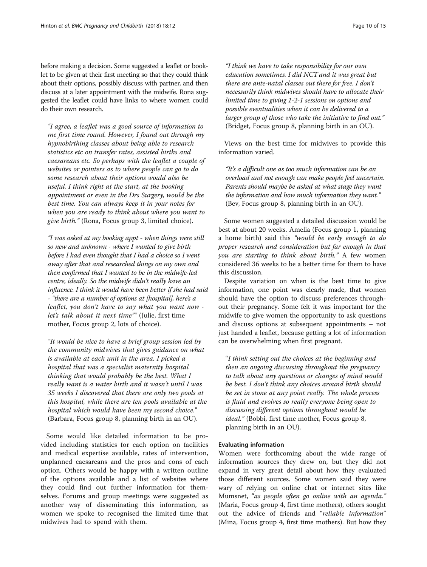before making a decision. Some suggested a leaflet or booklet to be given at their first meeting so that they could think about their options, possibly discuss with partner, and then discuss at a later appointment with the midwife. Rona suggested the leaflet could have links to where women could do their own research.

"I agree, a leaflet was a good source of information to me first time round. However, I found out through my hypnobirthing classes about being able to research statistics etc on transfer rates, assisted births and caesareans etc. So perhaps with the leaflet a couple of websites or pointers as to where people can go to do some research about their options would also be useful. I think right at the start, at the booking appointment or even in the Drs Surgery, would be the best time. You can always keep it in your notes for when you are ready to think about where you want to give birth." (Rona, Focus group 3, limited choice).

"I was asked at my booking appt - when things were still so new and unknown - where I wanted to give birth before I had even thought that I had a choice so I went away after that and researched things on my own and then confirmed that I wanted to be in the midwife-led centre, ideally. So the midwife didn't really have an influence. I think it would have been better if she had said - "there are a number of options at [hospital], here's a leaflet, you don't have to say what you want now let's talk about it next time"" (Julie, first time mother, Focus group 2, lots of choice).

"It would be nice to have a brief group session led by the community midwives that gives guidance on what is available at each unit in the area. I picked a hospital that was a specialist maternity hospital thinking that would probably be the best. What I really want is a water birth and it wasn't until I was 35 weeks I discovered that there are only two pools at this hospital, while there are ten pools available at the hospital which would have been my second choice." (Barbara, Focus group 8, planning birth in an OU).

Some would like detailed information to be provided including statistics for each option on facilities and medical expertise available, rates of intervention, unplanned caesareans and the pros and cons of each option. Others would be happy with a written outline of the options available and a list of websites where they could find out further information for themselves. Forums and group meetings were suggested as another way of disseminating this information, as women we spoke to recognised the limited time that midwives had to spend with them.

"I think we have to take responsibility for our own education sometimes. I did NCT and it was great but there are ante-natal classes out there for free. I don't necessarily think midwives should have to allocate their limited time to giving 1-2-1 sessions on options and possible eventualities when it can be delivered to a larger group of those who take the initiative to find out." (Bridget, Focus group 8, planning birth in an OU).

Views on the best time for midwives to provide this information varied.

"It's a difficult one as too much information can be an overload and not enough can make people feel uncertain. Parents should maybe be asked at what stage they want the information and how much information they want." (Bev, Focus group 8, planning birth in an OU).

Some women suggested a detailed discussion would be best at about 20 weeks. Amelia (Focus group 1, planning a home birth) said this "would be early enough to do proper research and consideration but far enough in that you are starting to think about birth." A few women considered 36 weeks to be a better time for them to have this discussion.

Despite variation on when is the best time to give information, one point was clearly made, that women should have the option to discuss preferences throughout their pregnancy. Some felt it was important for the midwife to give women the opportunity to ask questions and discuss options at subsequent appointments – not just handed a leaflet, because getting a lot of information can be overwhelming when first pregnant.

"I think setting out the choices at the beginning and then an ongoing discussing throughout the pregnancy to talk about any questions or changes of mind would be best. I don't think any choices around birth should be set in stone at any point really. The whole process is fluid and evolves so really everyone being open to discussing different options throughout would be ideal." (Bobbi, first time mother, Focus group 8, planning birth in an OU).

#### Evaluating information

Women were forthcoming about the wide range of information sources they drew on, but they did not expand in very great detail about how they evaluated those different sources. Some women said they were wary of relying on online chat or internet sites like Mumsnet, "as people often go online with an agenda." (Maria, Focus group 4, first time mothers), others sought out the advice of friends and "reliable information" (Mina, Focus group 4, first time mothers). But how they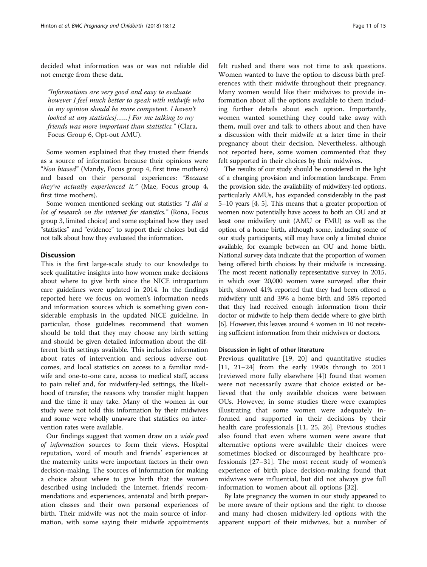decided what information was or was not reliable did not emerge from these data.

"Informations are very good and easy to evaluate however I feel much better to speak with midwife who in my opinion should be more competent. I haven't looked at any statistics[……] For me talking to my friends was more important than statistics." (Clara, Focus Group 6, Opt-out AMU).

Some women explained that they trusted their friends as a source of information because their opinions were "Non biased" (Mandy, Focus group 4, first time mothers) and based on their personal experiences: "Because they've actually experienced it." (Mae, Focus group 4, first time mothers).

Some women mentioned seeking out statistics "I did a lot of research on the internet for statistics." (Rona, Focus group 3, limited choice) and some explained how they used "statistics" and "evidence" to support their choices but did not talk about how they evaluated the information.

## **Discussion**

This is the first large-scale study to our knowledge to seek qualitative insights into how women make decisions about where to give birth since the NICE intrapartum care guidelines were updated in 2014. In the findings reported here we focus on women's information needs and information sources which is something given considerable emphasis in the updated NICE guideline. In particular, those guidelines recommend that women should be told that they may choose any birth setting and should be given detailed information about the different birth settings available. This includes information about rates of intervention and serious adverse outcomes, and local statistics on access to a familiar midwife and one-to-one care, access to medical staff, access to pain relief and, for midwifery-led settings, the likelihood of transfer, the reasons why transfer might happen and the time it may take. Many of the women in our study were not told this information by their midwives and some were wholly unaware that statistics on intervention rates were available.

Our findings suggest that women draw on a wide pool of information sources to form their views. Hospital reputation, word of mouth and friends' experiences at the maternity units were important factors in their own decision-making. The sources of information for making a choice about where to give birth that the women described using included: the Internet, friends' recommendations and experiences, antenatal and birth preparation classes and their own personal experiences of birth. Their midwife was not the main source of information, with some saying their midwife appointments

felt rushed and there was not time to ask questions. Women wanted to have the option to discuss birth preferences with their midwife throughout their pregnancy. Many women would like their midwives to provide information about all the options available to them including further details about each option. Importantly, women wanted something they could take away with them, mull over and talk to others about and then have a discussion with their midwife at a later time in their pregnancy about their decision. Nevertheless, although not reported here, some women commented that they felt supported in their choices by their midwives.

The results of our study should be considered in the light of a changing provision and information landscape. From the provision side, the availability of midwifery-led options, particularly AMUs, has expanded considerably in the past 5–10 years [\[4](#page-13-0), [5](#page-13-0)]. This means that a greater proportion of women now potentially have access to both an OU and at least one midwifery unit (AMU or FMU) as well as the option of a home birth, although some, including some of our study participants, still may have only a limited choice available, for example between an OU and home birth. National survey data indicate that the proportion of women being offered birth choices by their midwife is increasing. The most recent nationally representative survey in 2015, in which over 20,000 women were surveyed after their birth, showed 41% reported that they had been offered a midwifery unit and 39% a home birth and 58% reported that they had received enough information from their doctor or midwife to help them decide where to give birth [[6](#page-13-0)]. However, this leaves around 4 women in 10 not receiving sufficient information from their midwives or doctors.

#### Discussion in light of other literature

Previous qualitative [[19, 20\]](#page-13-0) and quantitative studies [[11, 21](#page-13-0)–[24\]](#page-13-0) from the early 1990s through to 2011 (reviewed more fully elsewhere [\[4](#page-13-0)]) found that women were not necessarily aware that choice existed or believed that the only available choices were between OUs. However, in some studies there were examples illustrating that some women were adequately informed and supported in their decisions by their health care professionals [\[11](#page-13-0), [25, 26](#page-13-0)]. Previous studies also found that even where women were aware that alternative options were available their choices were sometimes blocked or discouraged by healthcare professionals [[27](#page-13-0)–[31\]](#page-14-0). The most recent study of women's experience of birth place decision-making found that midwives were influential, but did not always give full information to women about all options [\[32](#page-14-0)].

By late pregnancy the women in our study appeared to be more aware of their options and the right to choose and many had chosen midwifery-led options with the apparent support of their midwives, but a number of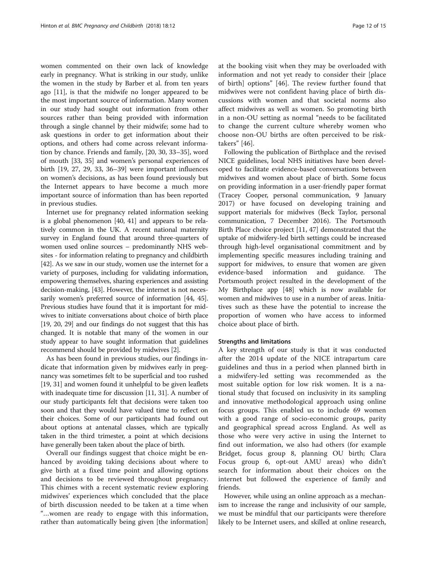women commented on their own lack of knowledge early in pregnancy. What is striking in our study, unlike the women in the study by Barber et al. from ten years ago [\[11](#page-13-0)], is that the midwife no longer appeared to be the most important source of information. Many women in our study had sought out information from other sources rather than being provided with information through a single channel by their midwife; some had to ask questions in order to get information about their options, and others had come across relevant information by chance. Friends and family, [\[20, 30,](#page-13-0) [33](#page-14-0)–[35](#page-14-0)], word of mouth [[33](#page-14-0), [35](#page-14-0)] and women's personal experiences of birth [[19, 27, 29,](#page-13-0) [33, 36](#page-14-0)–[39\]](#page-14-0) were important influences on women's decisions, as has been found previously but the Internet appears to have become a much more important source of information than has been reported in previous studies.

Internet use for pregnancy related information seeking is a global phenomenon [\[40](#page-14-0), [41\]](#page-14-0) and appears to be relatively common in the UK. A recent national maternity survey in England found that around three-quarters of women used online sources – predominantly NHS websites - for information relating to pregnancy and childbirth [[42](#page-14-0)]. As we saw in our study, women use the internet for a variety of purposes, including for validating information, empowering themselves, sharing experiences and assisting decision-making, [\[43\]](#page-14-0). However, the internet is not necessarily women's preferred source of information [[44](#page-14-0), [45](#page-14-0)]. Previous studies have found that it is important for midwives to initiate conversations about choice of birth place [[19](#page-13-0), [20, 29\]](#page-13-0) and our findings do not suggest that this has changed. It is notable that many of the women in our study appear to have sought information that guidelines recommend should be provided by midwives [[2\]](#page-13-0).

As has been found in previous studies, our findings indicate that information given by midwives early in pregnancy was sometimes felt to be superficial and too rushed [[19](#page-13-0), [31\]](#page-14-0) and women found it unhelpful to be given leaflets with inadequate time for discussion [\[11,](#page-13-0) [31](#page-14-0)]. A number of our study participants felt that decisions were taken too soon and that they would have valued time to reflect on their choices. Some of our participants had found out about options at antenatal classes, which are typically taken in the third trimester, a point at which decisions have generally been taken about the place of birth.

Overall our findings suggest that choice might be enhanced by avoiding taking decisions about where to give birth at a fixed time point and allowing options and decisions to be reviewed throughout pregnancy. This chimes with a recent systematic review exploring midwives' experiences which concluded that the place of birth discussion needed to be taken at a time when "…women are ready to engage with this information, rather than automatically being given [the information]

at the booking visit when they may be overloaded with information and not yet ready to consider their [place of birth] options" [[46\]](#page-14-0). The review further found that midwives were not confident having place of birth discussions with women and that societal norms also affect midwives as well as women. So promoting birth in a non-OU setting as normal "needs to be facilitated to change the current culture whereby women who choose non-OU births are often perceived to be risktakers" [\[46](#page-14-0)].

Following the publication of Birthplace and the revised NICE guidelines, local NHS initiatives have been developed to facilitate evidence-based conversations between midwives and women about place of birth. Some focus on providing information in a user-friendly paper format (Tracey Cooper, personal communication, 9 January 2017) or have focused on developing training and support materials for midwives (Beck Taylor, personal communication, 7 December 2016). The Portsmouth Birth Place choice project [[11](#page-13-0), [47](#page-14-0)] demonstrated that the uptake of midwifery-led birth settings could be increased through high-level organisational commitment and by implementing specific measures including training and support for midwives, to ensure that women are given evidence-based information and guidance. The Portsmouth project resulted in the development of the My Birthplace app [[48\]](#page-14-0) which is now available for women and midwives to use in a number of areas. Initiatives such as these have the potential to increase the proportion of women who have access to informed choice about place of birth.

### Strengths and limitations

A key strength of our study is that it was conducted after the 2014 update of the NICE intrapartum care guidelines and thus in a period when planned birth in a midwifery-led setting was recommended as the most suitable option for low risk women. It is a national study that focused on inclusivity in its sampling and innovative methodological approach using online focus groups. This enabled us to include 69 women with a good range of socio-economic groups, parity and geographical spread across England. As well as those who were very active in using the Internet to find out information, we also had others (for example Bridget, focus group 8, planning OU birth; Clara Focus group 6, opt-out AMU areas) who didn't search for information about their choices on the internet but followed the experience of family and friends.

However, while using an online approach as a mechanism to increase the range and inclusivity of our sample, we must be mindful that our participants were therefore likely to be Internet users, and skilled at online research,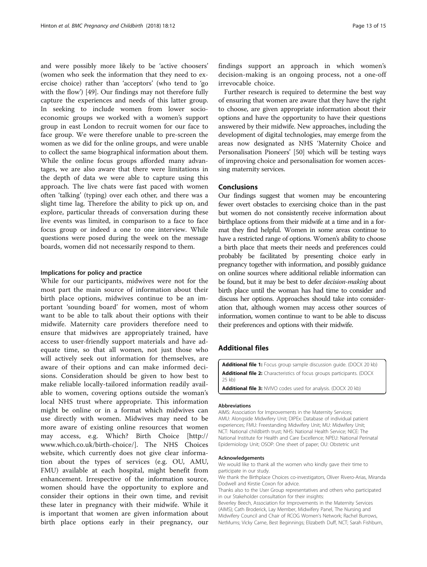<span id="page-12-0"></span>and were possibly more likely to be 'active choosers' (women who seek the information that they need to exercise choice) rather than 'acceptors' (who tend to 'go with the flow') [\[49](#page-14-0)]. Our findings may not therefore fully capture the experiences and needs of this latter group. In seeking to include women from lower socioeconomic groups we worked with a women's support group in east London to recruit women for our face to face group. We were therefore unable to pre-screen the women as we did for the online groups, and were unable to collect the same biographical information about them. While the online focus groups afforded many advantages, we are also aware that there were limitations in the depth of data we were able to capture using this approach. The live chats were fast paced with women often 'talking' (typing) over each other, and there was a slight time lag. Therefore the ability to pick up on, and explore, particular threads of conversation during these live events was limited, in comparison to a face to face focus group or indeed a one to one interview. While questions were posed during the week on the message boards, women did not necessarily respond to them.

#### Implications for policy and practice

While for our participants, midwives were not for the most part the main source of information about their birth place options, midwives continue to be an important 'sounding board' for women, most of whom want to be able to talk about their options with their midwife. Maternity care providers therefore need to ensure that midwives are appropriately trained, have access to user-friendly support materials and have adequate time, so that all women, not just those who will actively seek out information for themselves, are aware of their options and can make informed decisions. Consideration should be given to how best to make reliable locally-tailored information readily available to women, covering options outside the woman's local NHS trust where appropriate. This information might be online or in a format which midwives can use directly with women. Midwives may need to be more aware of existing online resources that women may access, e.g. Which? Birth Choice [[http://](http://www.which.co.uk/birth-choice) [www.which.co.uk/birth-choice/](http://www.which.co.uk/birth-choice)]. The NHS Choices website, which currently does not give clear information about the types of services (e.g. OU, AMU, FMU) available at each hospital, might benefit from enhancement. Irrespective of the information source, women should have the opportunity to explore and consider their options in their own time, and revisit these later in pregnancy with their midwife. While it is important that women are given information about birth place options early in their pregnancy, our

findings support an approach in which women's decision-making is an ongoing process, not a one-off irrevocable choice.

Further research is required to determine the best way of ensuring that women are aware that they have the right to choose, are given appropriate information about their options and have the opportunity to have their questions answered by their midwife. New approaches, including the development of digital technologies, may emerge from the areas now designated as NHS 'Maternity Choice and Personalisation Pioneers' [\[50](#page-14-0)] which will be testing ways of improving choice and personalisation for women accessing maternity services.

## **Conclusions**

Our findings suggest that women may be encountering fewer overt obstacles to exercising choice than in the past but women do not consistently receive information about birthplace options from their midwife at a time and in a format they find helpful. Women in some areas continue to have a restricted range of options. Women's ability to choose a birth place that meets their needs and preferences could probably be facilitated by presenting choice early in pregnancy together with information, and possibly guidance on online sources where additional reliable information can be found, but it may be best to defer *decision-making* about birth place until the woman has had time to consider and discuss her options. Approaches should take into consideration that, although women may access other sources of information, women continue to want to be able to discuss their preferences and options with their midwife.

## Additional files

[Additional file 1:](dx.doi.org/10.1186/s12884-017-1601-4) Focus group sample discussion quide. (DOCX 20 kb) [Additional file 2:](dx.doi.org/10.1186/s12884-017-1601-4) Characteristics of focus groups participants. (DOCX 25 kb)

[Additional file 3:](dx.doi.org/10.1186/s12884-017-1601-4) NVIVO codes used for analysis. (DOCX 20 kb)

#### Abbreviations

AIMS: Association for Improvements in the Maternity Services; AMU: Alongside Midwifery Unit; DIPEx: Database of individual patient experiences; FMU: Freestanding Midwifery Unit; MU: Midwifery Unit; NCT: National childbirth trust; NHS: National Health Service; NICE: The National Institute for Health and Care Excellence; NPEU: National Perinatal Epidemiology Unit; OSOP: One sheet of paper; OU: Obstetric unit

#### Acknowledgements

We would like to thank all the women who kindly gave their time to participate in our study.

We thank the Birthplace Choices co-investigators, Oliver Rivero-Arias, Miranda Dodwell and Kirstie Coxon for advice.

Thanks also to the User Group representatives and others who participated in our Stakeholder consultation for their insights:

Beverley Beech, Association for Improvements in the Maternity Services (AIMS); Cath Broderick, Lay Member, Midwifery Panel, The Nursing and Midwifery Council and Chair of RCOG Women's Network; Rachel Burrows, NetMums; Vicky Carne, Best Beginnings; Elizabeth Duff, NCT; Sarah Fishburn,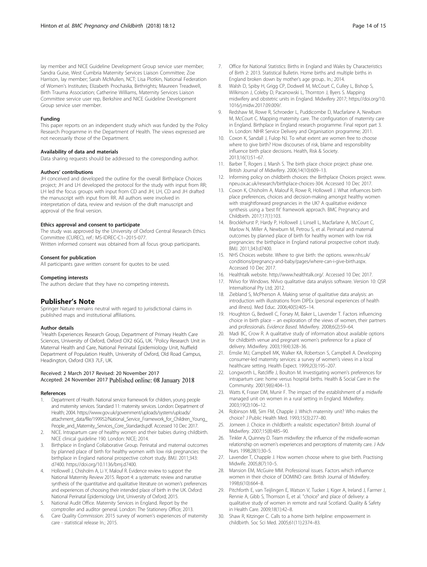<span id="page-13-0"></span>lay member and NICE Guideline Development Group service user member; Sandra Guise, West Cumbria Maternity Services Liaison Committee; Zoe Harrison, lay member; Sarah McMullen, NCT; Lisa Plotkin, National Federation of Women's Institutes; Elizabeth Prochaska, Birthrights; Maureen Treadwell, Birth Trauma Association; Catherine Williams, Maternity Services Liaison Committee service user rep, Berkshire and NICE Guideline Development Group service user member.

#### Funding

This paper reports on an independent study which was funded by the Policy Research Programme in the Department of Health. The views expressed are not necessarily those of the Department.

#### Availability of data and materials

Data sharing requests should be addressed to the corresponding author.

#### Authors' contributions

JH conceived and developed the outline for the overall Birthplace Choices project; JH and LH developed the protocol for the study with input from RR; LH led the focus groups with input from CD and JH; LH, CD and JH drafted the manuscript with input from RR. All authors were involved in interpretation of data, review and revision of the draft manuscript and approval of the final version.

#### Ethics approval and consent to participate

The study was approved by the University of Oxford Central Research Ethics Committee (CUREC), ref.: MS-IDREC-C1–2015-077.

Written informed consent was obtained from all focus group participants.

#### Consent for publication

All participants gave written consent for quotes to be used.

#### Competing interests

The authors declare that they have no competing interests.

#### Publisher's Note

Springer Nature remains neutral with regard to jurisdictional claims in published maps and institutional affiliations.

#### Author details

<sup>1</sup> Health Experiences Research Group, Department of Primary Health Care Sciences, University of Oxford, Oxford OX2 6GG, UK. <sup>2</sup>Policy Research Unit in Maternal Health and Care, National Perinatal Epidemiology Unit, Nuffield Department of Population Health, University of Oxford, Old Road Campus, Headington, Oxford OX3 7LF, UK.

#### Received: 2 March 2017 Revised: 20 November 2017 Accepted: 24 November 2017 Published online: 08 January 2018

#### References

- 1. Department of Health. National service framework for children, young people and maternity services. Standard 11: maternity services. London: Department of Health; 2004. [https://www.gov.uk/government/uploads/system/uploads/](https://www.gov.uk/government/uploads/system/uploads/attachment_data/file/199952/National_Service_Framework_for_Children_Young_People_and_Maternity_Services_Core_Standards.pdf) [attachment\\_data/file/199952/National\\_Service\\_Framework\\_for\\_Children\\_Young\\_](https://www.gov.uk/government/uploads/system/uploads/attachment_data/file/199952/National_Service_Framework_for_Children_Young_People_and_Maternity_Services_Core_Standards.pdf) [People\\_and\\_Maternity\\_Services\\_Core\\_Standards.pdf](https://www.gov.uk/government/uploads/system/uploads/attachment_data/file/199952/National_Service_Framework_for_Children_Young_People_and_Maternity_Services_Core_Standards.pdf). Accessed 10 Dec 2017.
- 2. NICE. Intrapartum care of healthy women and their babies during childbirth. NICE clinical guideline 190. London: NICE; 2014.
- 3. Birthplace in England Collaborative Group. Perinatal and maternal outcomes by planned place of birth for healthy women with low risk pregnancies: the birthplace in England national prospective cohort study. BMJ. 2011;343: d7400. [https://doi.org/10.1136/bmj.d7400.](http://dx.doi.org/10.1136/bmj.d7400)
- 4. Hollowell J, Chisholm A, Li Y, Malouf R. Evidence review to support the National Maternity Review 2015. Report 4: a systematic review and narrative synthesis of the quantitative and qualitative literature on women's preferences and experiences of choosing their intended place of birth in the UK. Oxford: National Perinatal Epidemiology Unit, University of Oxford; 2015.
- 5. National Audit Office. Maternity Services in England. Report by the comptroller and auditor general. London: The Stationery Office; 2013.
- Care Quality Commission: 2015 survey of women's experiences of maternity care - statistical release In.; 2015.
- Walsh D, Spiby H, Grigg CP, Dodwell M, McCourt C, Culley L, Bishop S, Wilkinson J, Coleby D, Pacanowski L, Thornton J, Byers S. Mapping midwifery and obstetric units in England. Midwifery 2017; [https://doi.org/10.](https://doi.org/10.1016/j.midw.2017.09.009/) [1016/j.midw.2017.09.009/](https://doi.org/10.1016/j.midw.2017.09.009/).
- Redshaw M, Rowe R, Schroeder L, Puddicombe D, Macfarlane A, Newburn M, McCourt C. Mapping maternity care. The configuration of maternity care in England. Birthplace in England research programme. Final report part 3. In. London: NIHR Service Delivery and Organisation programme; 2011.
- 10. Coxon K, Sandall J, Fulop NJ. To what extent are women free to choose where to give birth? How discourses of risk, blame and responsibility influence birth place decisions. Health, Risk & Society. 2013;16(1):51–67.
- 11. Barber T, Rogers J, Marsh S. The birth place choice project: phase one. British Journal of Midwifery. 2006;14(10):609–13.
- 12. Informing policy on childbirth choices: the Birthplace Choices project. [www.](http://www.npeu.ox.ac.uk/research/birthplace-choices-304) [npeu.ox.ac.uk/research/birthplace-choices-304.](http://www.npeu.ox.ac.uk/research/birthplace-choices-304) Accessed 10 Dec 2017.
- 13. Coxon K, Chisholm A, Malouf R, Rowe R, Hollowell J. What influences birth place preferences, choices and decision-making amongst healthy women with straightforward pregnancies in the UK? A qualitative evidence synthesis using a 'best fit' framework approach. BMC Pregnancy and Childbirth. 2017;17(1):103.
- 14. Brocklehurst P, Hardy P, Hollowell J, Linsell L, Macfarlane A, McCourt C, Marlow N, Miller A, Newburn M, Petrou S, et al. Perinatal and maternal outcomes by planned place of birth for healthy women with low risk pregnancies: the birthplace in England national prospective cohort study. BMJ. 2011;343:d7400.
- 15. NHS Choices website. Where to give birth: the options. [www.nhs.uk/](http://www.nhs.uk/conditions/pregnancy-and-baby/pages/where-can-i-give-birth.aspx) [conditions/pregnancy-and-baby/pages/where-can-i-give-birth.aspx.](http://www.nhs.uk/conditions/pregnancy-and-baby/pages/where-can-i-give-birth.aspx) Accessed 10 Dec 2017.
- 16. Healthtalk website. [http://www.healthtalk.org/.](http://www.healthtalk.org/) Accessed 10 Dec 2017.
- 17. NVivo for Windows. NVivo qualitative data analysis software. Version 10: QSR Internaltional Pty Ltd; 2012.
- 18. Ziebland S, McPherson A. Making sense of qualitative data analysis: an introduction with illustrations from DIPEx (personal experiences of health and illness). Med Educ. 2006;40(5):405–14.
- 19. Houghton G, Bedwell C, Forsey M, Baker L, Lavender T. Factors influencing choice in birth place – an exploration of the views of women, their partners and professionals. Evidence Based. Midwifery. 2008;6(2):59–64.
- 20. Madi BC, Crow R. A qualitative study of information about available options for childbirth venue and pregnant women's preference for a place of delivery. Midwifery. 2003;19(4):328–36.
- 21. Emslie MJ, Campbell MK, Walker KA, Robertson S, Campbell A. Developing consumer-led maternity services: a survey of women's views in a local healthcare setting. Health Expect. 1999;2(3):195–207.
- 22. Longworth L, Ratcliffe J, Boulton M. Investigating women's preferences for intrapartum care: home versus hospital births. Health & Social Care in the Community. 2001;9(6):404–13.
- 23. Watts K, Fraser DM, Munir F. The impact of the establishment of a midwife managed unit on women in a rural setting in England. Midwifery. 2003;19(2):106–12.
- 24. Robinson MB, Sim FM, Chapple J. Which maternity unit? Who makes the choice? J Public Health Med. 1993;15(3):277–80.
- 25. Jomeen J. Choice in childbirth: a realistic expectation? British Journal of Midwifery. 2007;15(8):485–90.
- 26. Tinkler A, Quinney D. Team midwifery: the influence of the midwife-woman relationship on women's experiences and perceptions of maternity care. J Adv Nurs. 1998;28(1):30–5.
- 27. Lavender T, Chapple J. How women choose where to give birth. Practising Midwife. 2005;8(7):10–5.
- 28. Mansion EM, McGuire MM. Professional issues. Factors which influence women in their choice of DOMINO care. British Journal of Midwifery. 1998;6(10):664–8.
- 29. Pitchforth E, van Teijlingen E, Watson V, Tucker J, Kiger A, Ireland J, Farmer J, Rennie A, Gibb S, Thomson E, et al. "choice" and place of delivery: a qualitative study of women in remote and rural Scotland. Quality & Safety in Health Care. 2009;18(1):42–8.
- 30. Shaw R, Kitzinger C. Calls to a home birth helpline: empowerment in childbirth. Soc Sci Med. 2005;61(11):2374–83.